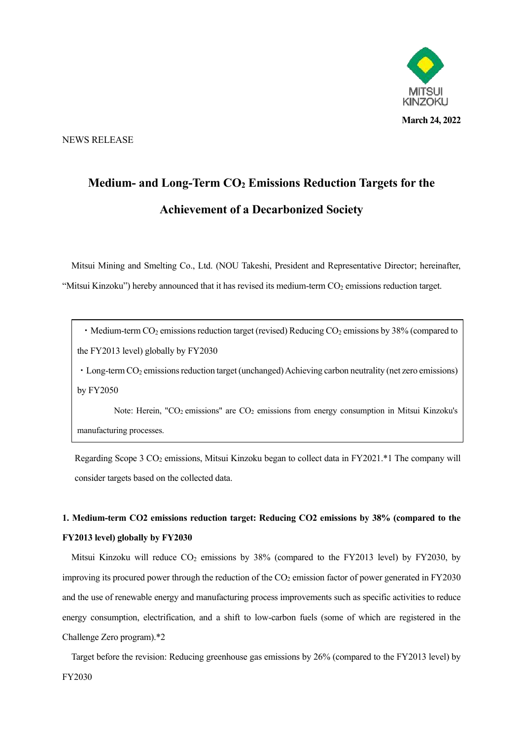

NEWS RELEASE

# **Medium- and Long-Term CO<sup>2</sup> Emissions Reduction Targets for the Achievement of a Decarbonized Society**

Mitsui Mining and Smelting Co., Ltd. (NOU Takeshi, President and Representative Director; hereinafter, "Mitsui Kinzoku") hereby announced that it has revised its medium-term CO<sub>2</sub> emissions reduction target.

• Medium-term CO<sub>2</sub> emissions reduction target (revised) Reducing CO<sub>2</sub> emissions by 38% (compared to the FY2013 level) globally by FY2030

• Long-term CO<sub>2</sub> emissions reduction target (unchanged) Achieving carbon neutrality (net zero emissions) by FY2050

Note: Herein, "CO<sub>2</sub> emissions" are CO<sub>2</sub> emissions from energy consumption in Mitsui Kinzoku's manufacturing processes.

Regarding Scope 3  $CO<sub>2</sub>$  emissions, Mitsui Kinzoku began to collect data in FY2021.\*1 The company will consider targets based on the collected data.

# **1. Medium-term CO2 emissions reduction target: Reducing CO2 emissions by 38% (compared to the FY2013 level) globally by FY2030**

Mitsui Kinzoku will reduce  $CO<sub>2</sub>$  emissions by 38% (compared to the FY2013 level) by FY2030, by improving its procured power through the reduction of the  $CO<sub>2</sub>$  emission factor of power generated in FY2030 and the use of renewable energy and manufacturing process improvements such as specific activities to reduce energy consumption, electrification, and a shift to low-carbon fuels (some of which are registered in the Challenge Zero program).\*2

Target before the revision: Reducing greenhouse gas emissions by 26% (compared to the FY2013 level) by FY2030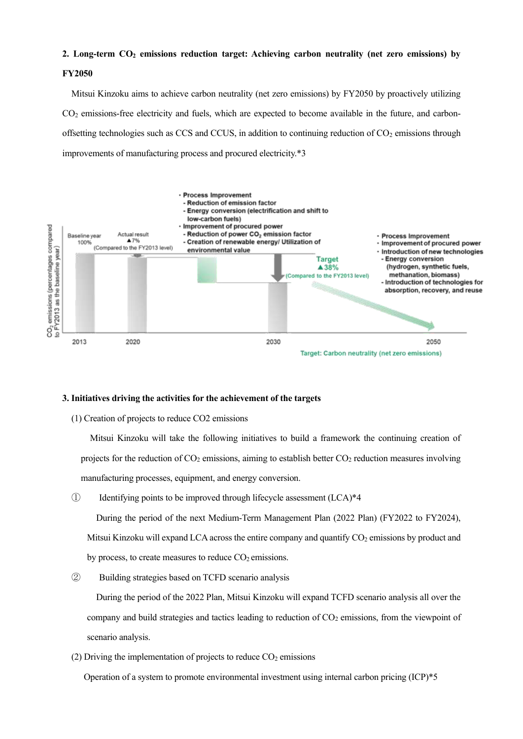# **2. Long-term CO<sup>2</sup> emissions reduction target: Achieving carbon neutrality (net zero emissions) by**

# **FY2050**

Mitsui Kinzoku aims to achieve carbon neutrality (net zero emissions) by FY2050 by proactively utilizing CO<sub>2</sub> emissions-free electricity and fuels, which are expected to become available in the future, and carbonoffsetting technologies such as CCS and CCUS, in addition to continuing reduction of  $CO<sub>2</sub>$  emissions through improvements of manufacturing process and procured electricity.\*3



## **3. Initiatives driving the activities for the achievement of the targets**

(1) Creation of projects to reduce CO2 emissions

Mitsui Kinzoku will take the following initiatives to build a framework the continuing creation of projects for the reduction of  $CO<sub>2</sub>$  emissions, aiming to establish better  $CO<sub>2</sub>$  reduction measures involving manufacturing processes, equipment, and energy conversion.

① Identifying points to be improved through lifecycle assessment (LCA)\*4

During the period of the next Medium-Term Management Plan (2022 Plan) (FY2022 to FY2024), Mitsui Kinzoku will expand LCA across the entire company and quantify  $CO<sub>2</sub>$  emissions by product and by process, to create measures to reduce  $CO<sub>2</sub>$  emissions.

② Building strategies based on TCFD scenario analysis

During the period of the 2022 Plan, Mitsui Kinzoku will expand TCFD scenario analysis all over the company and build strategies and tactics leading to reduction of  $CO<sub>2</sub>$  emissions, from the viewpoint of scenario analysis.

(2) Driving the implementation of projects to reduce  $CO<sub>2</sub>$  emissions

Operation of a system to promote environmental investment using internal carbon pricing (ICP)\*5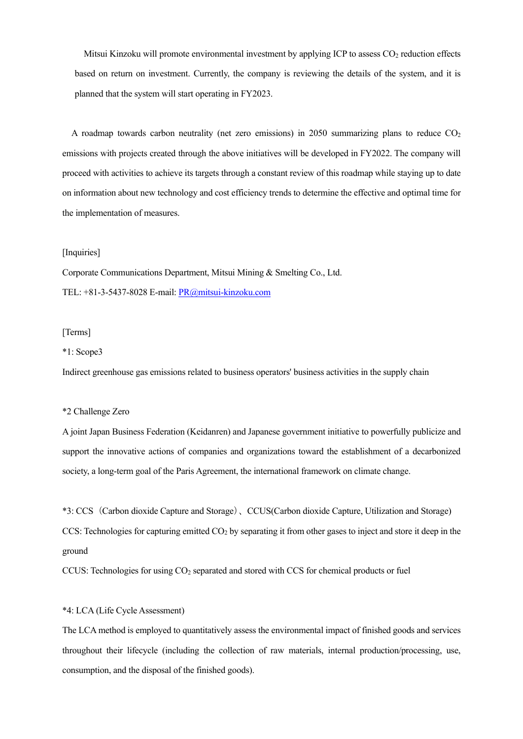Mitsui Kinzoku will promote environmental investment by applying ICP to assess CO<sub>2</sub> reduction effects based on return on investment. Currently, the company is reviewing the details of the system, and it is planned that the system will start operating in FY2023.

A roadmap towards carbon neutrality (net zero emissions) in 2050 summarizing plans to reduce  $CO<sub>2</sub>$ emissions with projects created through the above initiatives will be developed in FY2022. The company will proceed with activities to achieve its targets through a constant review of this roadmap while staying up to date on information about new technology and cost efficiency trends to determine the effective and optimal time for the implementation of measures.

#### [Inquiries]

Corporate Communications Department, Mitsui Mining & Smelting Co., Ltd. TEL: +81-3-5437-8028 E-mail[: PR@mitsui-kinzoku.com](mailto:PR@mitsui-kinzoku.com)

# [Terms]

## \*1: Scope3

Indirect greenhouse gas emissions related to business operators' business activities in the supply chain

# \*2 Challenge Zero

A joint Japan Business Federation (Keidanren) and Japanese government initiative to powerfully publicize and support the innovative actions of companies and organizations toward the establishment of a decarbonized society, a long-term goal of the Paris Agreement, the international framework on climate change.

\*3: CCS(Carbon dioxide Capture and Storage)、CCUS(Carbon dioxide Capture, Utilization and Storage) CCS: Technologies for capturing emitted  $CO<sub>2</sub>$  by separating it from other gases to inject and store it deep in the ground

CCUS: Technologies for using CO<sup>2</sup> separated and stored with CCS for chemical products or fuel

# \*4: LCA (Life Cycle Assessment)

The LCA method is employed to quantitatively assess the environmental impact of finished goods and services throughout their lifecycle (including the collection of raw materials, internal production/processing, use, consumption, and the disposal of the finished goods).